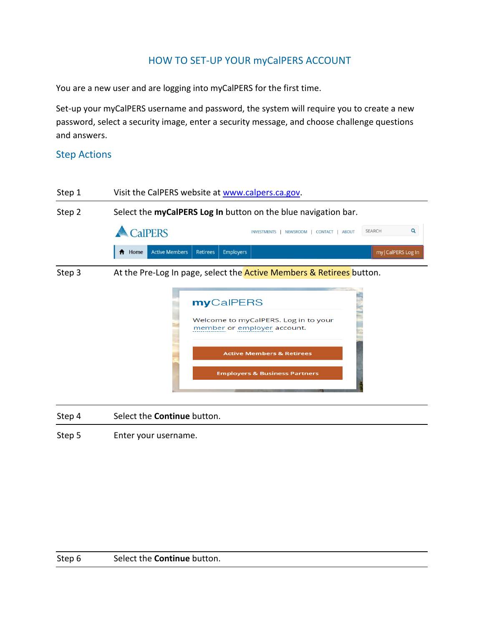# HOW TO SET-UP YOUR myCalPERS ACCOUNT

You are a new user and are logging into myCalPERS for the first time.

Set-up your myCalPERS username and password, the system will require you to create a new password, select a security image, enter a security message, and choose challenge questions and answers.

### Step Actions



Step 4 Select the **Continue** button.

Step 5 Enter your username.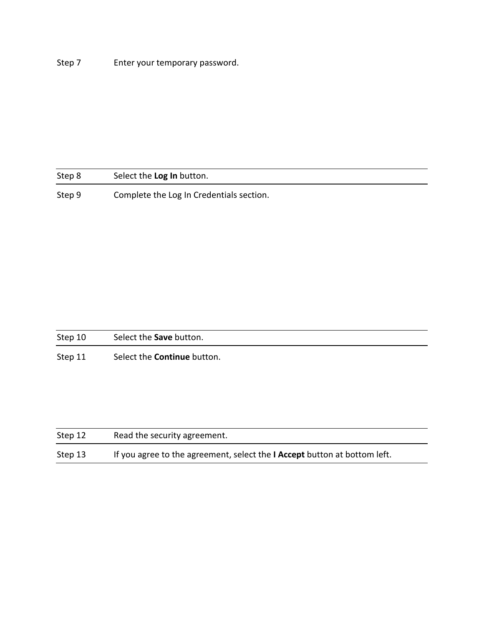Step 7 Enter your temporary password.

| Step 8 | Select the Log In button.                |
|--------|------------------------------------------|
| Step 9 | Complete the Log In Credentials section. |

| Step 10 | Select the <b>Save</b> button.     |
|---------|------------------------------------|
| Step 11 | Select the <b>Continue</b> button. |

| Step 12 | Read the security agreement.                                                     |  |
|---------|----------------------------------------------------------------------------------|--|
| Step 13 | If you agree to the agreement, select the <b>I Accept</b> button at bottom left. |  |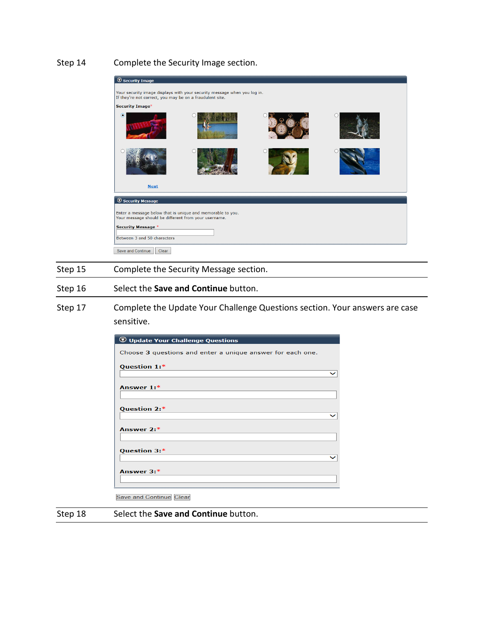### Step 14 Complete the Security Image section.



#### Step 15 Complete the Security Message section.

#### Step 16 Select the **Save and Continue** button.

Step 17 Complete the Update Your Challenge Questions section. Your answers are case sensitive.

| <b>W</b> Update Your Challenge Questions                   |  |
|------------------------------------------------------------|--|
| Choose 3 questions and enter a unique answer for each one. |  |
| Question 1:*                                               |  |
|                                                            |  |
| Answer $1:$ *                                              |  |
|                                                            |  |
| Question 2:*                                               |  |
|                                                            |  |
| Answer 2:*                                                 |  |
|                                                            |  |
| Question 3:*                                               |  |
|                                                            |  |
| Answer 3:*                                                 |  |
|                                                            |  |
|                                                            |  |

Save and Continue Clear

#### Step 18 Select the **Save and Continue** button.